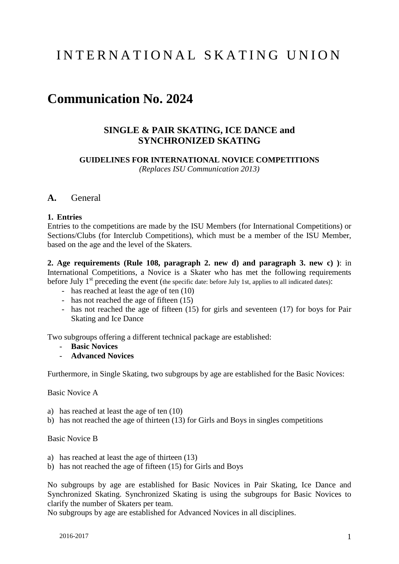# INTERNATIONAL SKATING UNION

# **Communication No. 2024**

## **SINGLE & PAIR SKATING, ICE DANCE and SYNCHRONIZED SKATING**

**GUIDELINES FOR INTERNATIONAL NOVICE COMPETITIONS** *(Replaces ISU Communication 2013)*

#### **A.** General

## **1. Entries**

Entries to the competitions are made by the ISU Members (for International Competitions) or Sections/Clubs (for Interclub Competitions), which must be a member of the ISU Member, based on the age and the level of the Skaters.

**2. Age requirements (Rule 108, paragraph 2. new d) and paragraph 3. new c) )**: in International Competitions, a Novice is a Skater who has met the following requirements before July 1<sup>st</sup> preceding the event (the specific date: before July 1st, applies to all indicated dates):

- has reached at least the age of ten  $(10)$
- has not reached the age of fifteen  $(15)$
- has not reached the age of fifteen (15) for girls and seventeen (17) for boys for Pair Skating and Ice Dance

Two subgroups offering a different technical package are established:

- **Basic Novices**
- **Advanced Novices**

Furthermore, in Single Skating, two subgroups by age are established for the Basic Novices:

Basic Novice A

- a) has reached at least the age of ten (10)
- b) has not reached the age of thirteen (13) for Girls and Boys in singles competitions

#### Basic Novice B

- a) has reached at least the age of thirteen (13)
- b) has not reached the age of fifteen (15) for Girls and Boys

No subgroups by age are established for Basic Novices in Pair Skating, Ice Dance and Synchronized Skating. Synchronized Skating is using the subgroups for Basic Novices to clarify the number of Skaters per team.

No subgroups by age are established for Advanced Novices in all disciplines.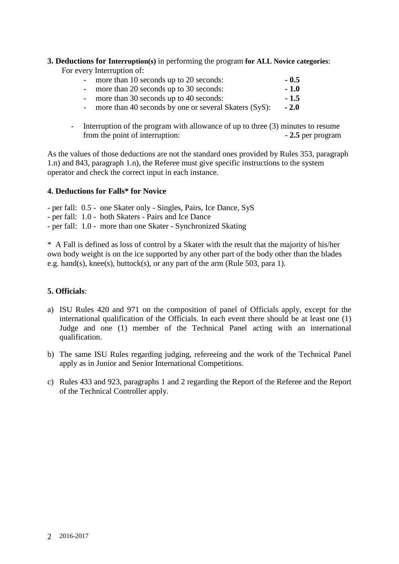# **3. Deductions for Interruption(s)** in performing the program **for ALL Novice categories**:

For every Interruption of:

| - more than 10 seconds up to 20 seconds:                | $-0.5$ |
|---------------------------------------------------------|--------|
| - more than 20 seconds up to 30 seconds:                | $-1.0$ |
| - more than 30 seconds up to 40 seconds:                | $-1.5$ |
| - more than 40 seconds by one or several Skaters (SyS): | $-2.0$ |

- Interruption of the program with allowance of up to three (3) minutes to resume from the point of interruption: **- 2.5** per program

As the values of those deductions are not the standard ones provided by Rules 353, paragraph 1.n) and 843, paragraph 1.n), the Referee must give specific instructions to the system operator and check the correct input in each instance.

## **4. Deductions for Falls\* for Novice**

- per fall: 0.5 one Skater only Singles, Pairs, Ice Dance, SyS
- per fall: 1.0 both Skaters Pairs and Ice Dance
- per fall: 1.0 more than one Skater Synchronized Skating

\* A Fall is defined as loss of control by a Skater with the result that the majority of his/her own body weight is on the ice supported by any other part of the body other than the blades e.g. hand(s), knee(s), buttock(s), or any part of the arm (Rule 503, para 1).

## **5. Officials**:

- a) ISU Rules 420 and 971 on the composition of panel of Officials apply, except for the international qualification of the Officials. In each event there should be at least one (1) Judge and one (1) member of the Technical Panel acting with an international qualification.
- b) The same ISU Rules regarding judging, refereeing and the work of the Technical Panel apply as in Junior and Senior International Competitions.
- c) Rules 433 and 923, paragraphs 1 and 2 regarding the Report of the Referee and the Report of the Technical Controller apply.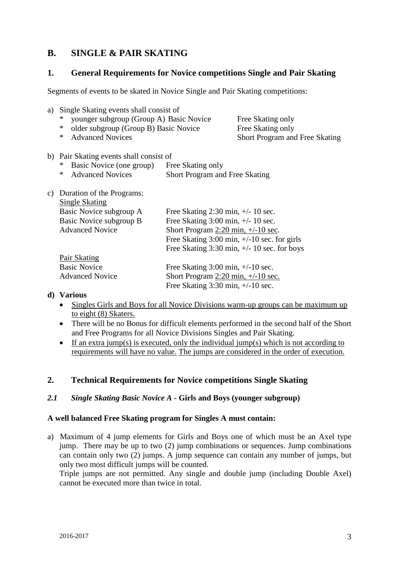## **B. SINGLE & PAIR SKATING**

## **1. General Requirements for Novice competitions Single and Pair Skating**

Segments of events to be skated in Novice Single and Pair Skating competitions:

| a) | Single Skating events shall consist of          |                                               |                                                                |  |
|----|-------------------------------------------------|-----------------------------------------------|----------------------------------------------------------------|--|
|    | younger subgroup (Group A) Basic Novice<br>∗    |                                               | Free Skating only                                              |  |
|    | older subgroup (Group B) Basic Novice<br>$\ast$ |                                               | Free Skating only                                              |  |
|    | <b>Advanced Novices</b><br>∗                    |                                               | <b>Short Program and Free Skating</b>                          |  |
|    | b) Pair Skating events shall consist of         |                                               |                                                                |  |
|    | Basic Novice (one group)<br>∗                   | Free Skating only                             |                                                                |  |
|    | <b>Advanced Novices</b><br>∗                    | <b>Short Program and Free Skating</b>         |                                                                |  |
| C) | Duration of the Programs:                       |                                               |                                                                |  |
|    | <b>Single Skating</b>                           |                                               |                                                                |  |
|    | Basic Novice subgroup A                         | Free Skating 2:30 min, $+/- 10$ sec.          |                                                                |  |
|    | Basic Novice subgroup B                         | Free Skating $3:00$ min, $\frac{+}{-}10$ sec. |                                                                |  |
|    | <b>Advanced Novice</b>                          | Short Program $2:20$ min, $+/-10$ sec.        |                                                                |  |
|    |                                                 |                                               | Free Skating $3:00 \text{ min}, +/-10 \text{ sec}$ . for girls |  |
|    |                                                 |                                               | Free Skating 3:30 min, $+/- 10$ sec. for boys                  |  |
|    | <b>Pair Skating</b>                             |                                               |                                                                |  |
|    | <b>Basic Novice</b>                             | Free Skating $3:00$ min, $+/-10$ sec.         |                                                                |  |
|    | <b>Advanced Novice</b>                          | Short Program $2:20$ min, $+/-10$ sec.        |                                                                |  |
|    |                                                 | Free Skating $3:30$ min, $+/-10$ sec.         |                                                                |  |
|    | d) Various                                      |                                               |                                                                |  |

- Singles Girls and Boys for all Novice Divisions warm-up groups can be maximum up to eight (8) Skaters.
- There will be no Bonus for difficult elements performed in the second half of the Short and Free Programs for all Novice Divisions Singles and Pair Skating.
- If an extra jump(s) is executed, only the individual jump(s) which is not according to requirements will have no value. The jumps are considered in the order of execution.

## **2. Technical Requirements for Novice competitions Single Skating**

## *2.1 Single Skating Basic Novice A* **- Girls and Boys (younger subgroup)**

#### **A well balanced Free Skating program for Singles A must contain:**

a) Maximum of 4 jump elements for Girls and Boys one of which must be an Axel type jump. There may be up to two (2) jump combinations or sequences. Jump combinations can contain only two (2) jumps. A jump sequence can contain any number of jumps, but only two most difficult jumps will be counted.

Triple jumps are not permitted. Any single and double jump (including Double Axel) cannot be executed more than twice in total.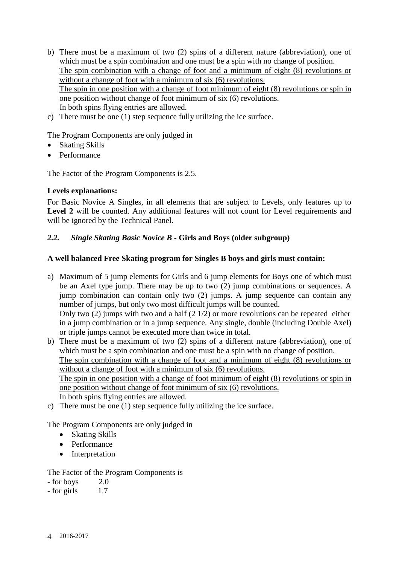- b) There must be a maximum of two (2) spins of a different nature (abbreviation), one of which must be a spin combination and one must be a spin with no change of position. The spin combination with a change of foot and a minimum of eight (8) revolutions or without a change of foot with a minimum of six (6) revolutions. The spin in one position with a change of foot minimum of eight (8) revolutions or spin in one position without change of foot minimum of six (6) revolutions. In both spins flying entries are allowed.
- c) There must be one (1) step sequence fully utilizing the ice surface.

The Program Components are only judged in

- Skating Skills
- Performance

The Factor of the Program Components is 2.5.

#### **Levels explanations:**

For Basic Novice A Singles, in all elements that are subject to Levels, only features up to Level 2 will be counted. Any additional features will not count for Level requirements and will be ignored by the Technical Panel.

## *2.2. Single Skating Basic Novice B* **- Girls and Boys (older subgroup)**

#### **A well balanced Free Skating program for Singles B boys and girls must contain:**

- a) Maximum of 5 jump elements for Girls and 6 jump elements for Boys one of which must be an Axel type jump. There may be up to two (2) jump combinations or sequences. A jump combination can contain only two (2) jumps. A jump sequence can contain any number of jumps, but only two most difficult jumps will be counted. Only two (2) jumps with two and a half (2 1/2) or more revolutions can be repeated either in a jump combination or in a jump sequence. Any single, double (including Double Axel) or triple jumps cannot be executed more than twice in total.
- b) There must be a maximum of two (2) spins of a different nature (abbreviation), one of which must be a spin combination and one must be a spin with no change of position. The spin combination with a change of foot and a minimum of eight (8) revolutions or without a change of foot with a minimum of six (6) revolutions. The spin in one position with a change of foot minimum of eight (8) revolutions or spin in one position without change of foot minimum of six (6) revolutions. In both spins flying entries are allowed.
- c) There must be one (1) step sequence fully utilizing the ice surface.

#### The Program Components are only judged in

- Skating Skills
- Performance
- Interpretation

#### The Factor of the Program Components is

- for boys 2.0
- $-$  for girls  $1.7$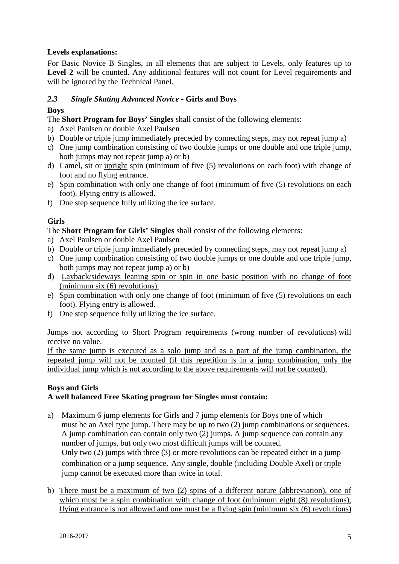## **Levels explanations:**

For Basic Novice B Singles, in all elements that are subject to Levels, only features up to Level 2 will be counted. Any additional features will not count for Level requirements and will be ignored by the Technical Panel.

## *2.3 Single Skating Advanced Novice* **- Girls and Boys**

## **Boys**

The **Short Program for Boys' Singles** shall consist of the following elements:

- a) Axel Paulsen or double Axel Paulsen
- b) Double or triple jump immediately preceded by connecting steps, may not repeat jump a)
- c) One jump combination consisting of two double jumps or one double and one triple jump, both jumps may not repeat jump a) or b)
- d) Camel, sit or upright spin (minimum of five (5) revolutions on each foot) with change of foot and no flying entrance.
- e) Spin combination with only one change of foot (minimum of five (5) revolutions on each foot). Flying entry is allowed.
- f) One step sequence fully utilizing the ice surface.

## **Girls**

The **Short Program for Girls' Singles** shall consist of the following elements:

- a) Axel Paulsen or double Axel Paulsen
- b) Double or triple jump immediately preceded by connecting steps, may not repeat jump a)
- c) One jump combination consisting of two double jumps or one double and one triple jump, both jumps may not repeat jump a) or b)
- d) Layback/sideways leaning spin or spin in one basic position with no change of foot (minimum six (6) revolutions).
- e) Spin combination with only one change of foot (minimum of five (5) revolutions on each foot). Flying entry is allowed.
- f) One step sequence fully utilizing the ice surface.

Jumps not according to Short Program requirements (wrong number of revolutions) will receive no value.

If the same jump is executed as a solo jump and as a part of the jump combination, the repeated jump will not be counted (if this repetition is in a jump combination, only the individual jump which is not according to the above requirements will not be counted).

#### **Boys and Girls A well balanced Free Skating program for Singles must contain:**

- a) Maximum 6 jump elements for Girls and 7 jump elements for Boys one of which must be an Axel type jump. There may be up to two (2) jump combinations or sequences. A jump combination can contain only two (2) jumps. A jump sequence can contain any number of jumps, but only two most difficult jumps will be counted. Only two (2) jumps with three (3) or more revolutions can be repeated either in a jump combination or a jump sequence. Any single, double (including Double Axel) or triple jump cannot be executed more than twice in total.
- b) There must be a maximum of two (2) spins of a different nature (abbreviation), one of which must be a spin combination with change of foot (minimum eight  $(8)$  revolutions), flying entrance is not allowed and one must be a flying spin (minimum six (6) revolutions)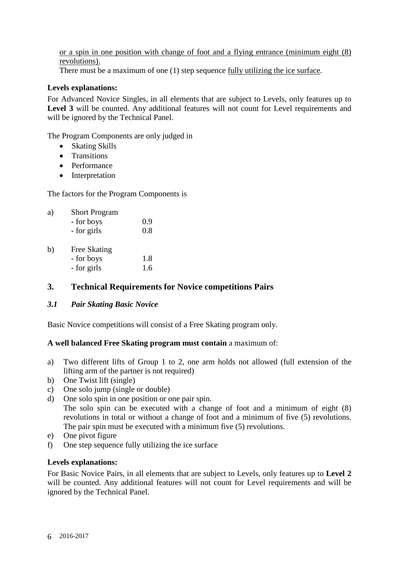## or a spin in one position with change of foot and a flying entrance (minimum eight (8) revolutions).

There must be a maximum of one (1) step sequence fully utilizing the ice surface.

#### **Levels explanations:**

For Advanced Novice Singles, in all elements that are subject to Levels, only features up to Level 3 will be counted. Any additional features will not count for Level requirements and will be ignored by the Technical Panel.

The Program Components are only judged in

- Skating Skills
- Transitions
- Performance
- Interpretation

The factors for the Program Components is

| a) | <b>Short Program</b> |     |  |
|----|----------------------|-----|--|
|    | - for boys           | 0.9 |  |
|    | - for girls          | 0.8 |  |
| b) | Free Skating         |     |  |
|    | - for boys           | 1.8 |  |
|    | - for girls          | 1.6 |  |

## **3. Technical Requirements for Novice competitions Pairs**

#### *3.1 Pair Skating Basic Novice*

Basic Novice competitions will consist of a Free Skating program only.

#### **A well balanced Free Skating program must contain** a maximum of:

- a) Two different lifts of Group 1 to 2, one arm holds not allowed (full extension of the lifting arm of the partner is not required)
- b) One Twist lift (single)
- c) One solo jump (single or double)
- d) One solo spin in one position or one pair spin.
	- The solo spin can be executed with a change of foot and a minimum of eight (8) revolutions in total or without a change of foot and a minimum of five (5) revolutions. The pair spin must be executed with a minimum five (5) revolutions.
- e) One pivot figure
- f) One step sequence fully utilizing the ice surface

#### **Levels explanations:**

For Basic Novice Pairs, in all elements that are subject to Levels, only features up to **Level 2**  will be counted. Any additional features will not count for Level requirements and will be ignored by the Technical Panel.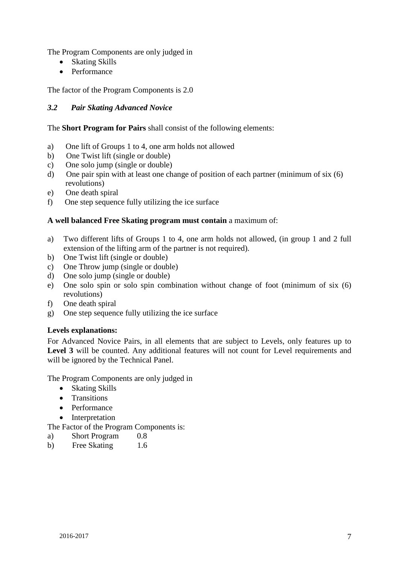The Program Components are only judged in

- Skating Skills
- Performance

The factor of the Program Components is 2.0

## *3.2 Pair Skating Advanced Novice*

#### The **Short Program for Pairs** shall consist of the following elements:

- a) One lift of Groups 1 to 4, one arm holds not allowed
- b) One Twist lift (single or double)
- c) One solo jump (single or double)
- d) One pair spin with at least one change of position of each partner (minimum of six (6) revolutions)
- e) One death spiral
- f) One step sequence fully utilizing the ice surface

#### **A well balanced Free Skating program must contain** a maximum of:

- a) Two different lifts of Groups 1 to 4, one arm holds not allowed, (in group 1 and 2 full extension of the lifting arm of the partner is not required).
- b) One Twist lift (single or double)
- c) One Throw jump (single or double)
- d) One solo jump (single or double)
- e) One solo spin or solo spin combination without change of foot (minimum of six (6) revolutions)
- f) One death spiral
- g) One step sequence fully utilizing the ice surface

#### **Levels explanations:**

For Advanced Novice Pairs, in all elements that are subject to Levels, only features up to Level 3 will be counted. Any additional features will not count for Level requirements and will be ignored by the Technical Panel.

The Program Components are only judged in

- Skating Skills
- Transitions
- Performance
- **Interpretation**

The Factor of the Program Components is:

- a) Short Program 0.8
- b) Free Skating 1.6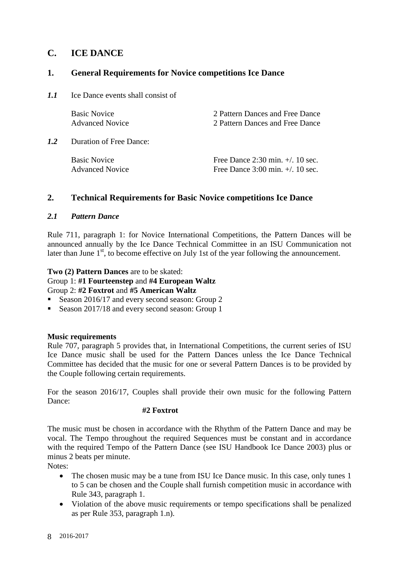## **C. ICE DANCE**

## **1. General Requirements for Novice competitions Ice Dance**

*1.1* Ice Dance events shall consist of

|     | <b>Basic Novice</b><br><b>Advanced Novice</b> | 2 Pattern Dances and Free Dance<br>2 Pattern Dances and Free Dance                                |
|-----|-----------------------------------------------|---------------------------------------------------------------------------------------------------|
| 1.2 | Duration of Free Dance:                       |                                                                                                   |
|     | <b>Basic Novice</b><br><b>Advanced Novice</b> | Free Dance $2:30 \text{ min.} +1.10 \text{ sec.}$<br>Free Dance $3:00 \text{ min.} + /$ . 10 sec. |

## **2. Technical Requirements for Basic Novice competitions Ice Dance**

## *2.1 Pattern Dance*

Rule 711, paragraph 1: for Novice International Competitions, the Pattern Dances will be announced annually by the Ice Dance Technical Committee in an ISU Communication not later than June  $1<sup>st</sup>$ , to become effective on July 1st of the year following the announcement.

#### **Two (2) Pattern Dances** are to be skated:

Group 1: **#1 Fourteenstep** and **#4 European Waltz**  Group 2: **#2 Foxtrot** and **#5 American Waltz** 

- Season 2016/17 and every second season: Group 2
- Season 2017/18 and every second season: Group 1

## **Music requirements**

Rule 707, paragraph 5 provides that, in International Competitions, the current series of ISU Ice Dance music shall be used for the Pattern Dances unless the Ice Dance Technical Committee has decided that the music for one or several Pattern Dances is to be provided by the Couple following certain requirements.

For the season 2016/17, Couples shall provide their own music for the following Pattern Dance:

#### **#2 Foxtrot**

The music must be chosen in accordance with the Rhythm of the Pattern Dance and may be vocal. The Tempo throughout the required Sequences must be constant and in accordance with the required Tempo of the Pattern Dance (see ISU Handbook Ice Dance 2003) plus or minus 2 beats per minute.

Notes:

- The chosen music may be a tune from ISU Ice Dance music. In this case, only tunes 1 to 5 can be chosen and the Couple shall furnish competition music in accordance with Rule 343, paragraph 1.
- Violation of the above music requirements or tempo specifications shall be penalized as per Rule 353, paragraph 1.n).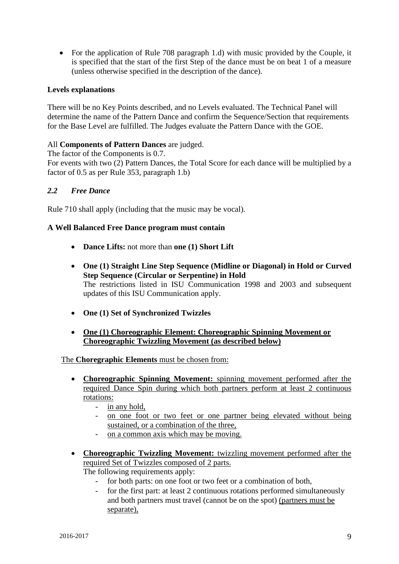• For the application of Rule 708 paragraph 1.d) with music provided by the Couple, it is specified that the start of the first Step of the dance must be on beat 1 of a measure (unless otherwise specified in the description of the dance).

## **Levels explanations**

There will be no Key Points described, and no Levels evaluated. The Technical Panel will determine the name of the Pattern Dance and confirm the Sequence/Section that requirements for the Base Level are fulfilled. The Judges evaluate the Pattern Dance with the GOE.

#### All **Components of Pattern Dances** are judged.

The factor of the Components is 0.7.

For events with two (2) Pattern Dances, the Total Score for each dance will be multiplied by a factor of 0.5 as per Rule 353, paragraph 1.b)

#### *2.2 Free Dance*

Rule 710 shall apply (including that the music may be vocal).

#### **A Well Balanced Free Dance program must contain**

- **Dance Lifts:** not more than **one (1) Short Lift**
- **One (1) Straight Line Step Sequence (Midline or Diagonal) in Hold or Curved Step Sequence (Circular or Serpentine) in Hold** The restrictions listed in ISU Communication 1998 and 2003 and subsequent updates of this ISU Communication apply.
- **One (1) Set of Synchronized Twizzles**
- **One (1) Choreographic Element: Choreographic Spinning Movement or Choreographic Twizzling Movement (as described below)**

#### The **Choregraphic Elements** must be chosen from:

- **Choreographic Spinning Movement:** spinning movement performed after the required Dance Spin during which both partners perform at least 2 continuous rotations:
	- in any hold,
	- on one foot or two feet or one partner being elevated without being sustained, or a combination of the three,
	- on a common axis which may be moving.
- **Choreographic Twizzling Movement:** twizzling movement performed after the required Set of Twizzles composed of 2 parts. The following requirements apply:
	- for both parts: on one foot or two feet or a combination of both.
	- for the first part: at least 2 continuous rotations performed simultaneously and both partners must travel (cannot be on the spot) (partners must be separate),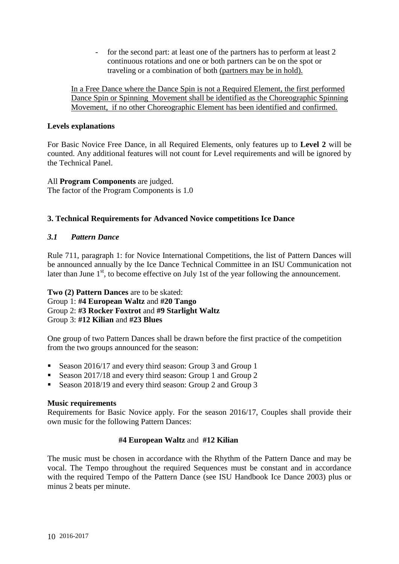for the second part: at least one of the partners has to perform at least 2 continuous rotations and one or both partners can be on the spot or traveling or a combination of both (partners may be in hold).

In a Free Dance where the Dance Spin is not a Required Element, the first performed Dance Spin or Spinning Movement shall be identified as the Choreographic Spinning Movement, if no other Choreographic Element has been identified and confirmed.

#### **Levels explanations**

For Basic Novice Free Dance, in all Required Elements, only features up to **Level 2** will be counted. Any additional features will not count for Level requirements and will be ignored by the Technical Panel.

#### All **Program Components** are judged. The factor of the Program Components is 1.0

## **3. Technical Requirements for Advanced Novice competitions Ice Dance**

## *3.1 Pattern Dance*

Rule 711, paragraph 1: for Novice International Competitions, the list of Pattern Dances will be announced annually by the Ice Dance Technical Committee in an ISU Communication not later than June  $1<sup>st</sup>$ , to become effective on July 1st of the year following the announcement.

#### **Two (2) Pattern Dances** are to be skated: Group 1: **#4 European Waltz** and **#20 Tango**  Group 2: **#3 Rocker Foxtrot** and **#9 Starlight Waltz**  Group 3: **#12 Kilian** and **#23 Blues**

One group of two Pattern Dances shall be drawn before the first practice of the competition from the two groups announced for the season:

- Season 2016/17 and every third season: Group 3 and Group 1
- Season 2017/18 and every third season: Group 1 and Group 2
- Season 2018/19 and every third season: Group 2 and Group 3

## **Music requirements**

Requirements for Basic Novice apply. For the season 2016/17, Couples shall provide their own music for the following Pattern Dances:

## **#4 European Waltz** and **#12 Kilian**

The music must be chosen in accordance with the Rhythm of the Pattern Dance and may be vocal. The Tempo throughout the required Sequences must be constant and in accordance with the required Tempo of the Pattern Dance (see ISU Handbook Ice Dance 2003) plus or minus 2 beats per minute.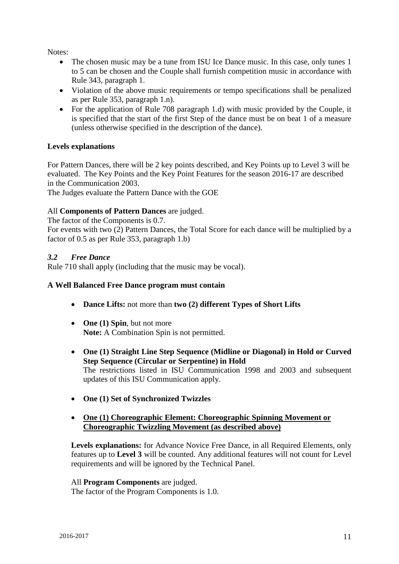Notes:

- The chosen music may be a tune from ISU Ice Dance music. In this case, only tunes 1 to 5 can be chosen and the Couple shall furnish competition music in accordance with Rule 343, paragraph 1.
- Violation of the above music requirements or tempo specifications shall be penalized as per Rule 353, paragraph 1.n).
- For the application of Rule 708 paragraph 1.d) with music provided by the Couple, it is specified that the start of the first Step of the dance must be on beat 1 of a measure (unless otherwise specified in the description of the dance).

## **Levels explanations**

For Pattern Dances, there will be 2 key points described, and Key Points up to Level 3 will be evaluated. The Key Points and the Key Point Features for the season 2016-17 are described in the Communication 2003.

The Judges evaluate the Pattern Dance with the GOE

## All **Components of Pattern Dances** are judged.

The factor of the Components is 0.7. For events with two (2) Pattern Dances, the Total Score for each dance will be multiplied by a factor of 0.5 as per Rule 353, paragraph 1.b)

## *3.2 Free Dance*

Rule 710 shall apply (including that the music may be vocal).

## **A Well Balanced Free Dance program must contain**

- **Dance Lifts:** not more than **two (2) different Types of Short Lifts**
- **One (1) Spin**, but not more **Note:** A Combination Spin is not permitted.
- **One (1) Straight Line Step Sequence (Midline or Diagonal) in Hold or Curved Step Sequence (Circular or Serpentine) in Hold** The restrictions listed in ISU Communication 1998 and 2003 and subsequent updates of this ISU Communication apply.
- **One (1) Set of Synchronized Twizzles**
- **One (1) Choreographic Element: Choreographic Spinning Movement or Choreographic Twizzling Movement (as described above)**

**Levels explanations:** for Advance Novice Free Dance, in all Required Elements, only features up to **Level 3** will be counted. Any additional features will not count for Level requirements and will be ignored by the Technical Panel.

All **Program Components** are judged.

The factor of the Program Components is 1.0.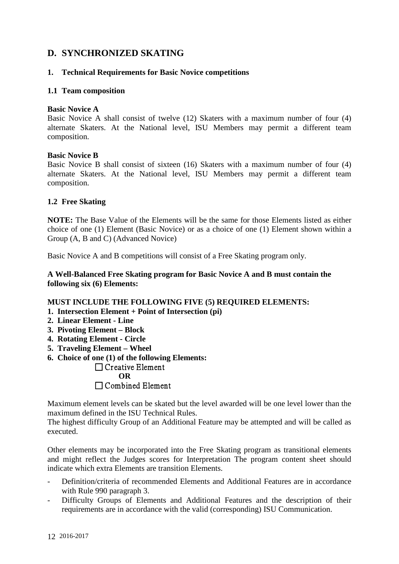## **D. SYNCHRONIZED SKATING**

#### **1. Technical Requirements for Basic Novice competitions**

#### **1.1 Team composition**

#### **Basic Novice A**

Basic Novice A shall consist of twelve (12) Skaters with a maximum number of four (4) alternate Skaters. At the National level, ISU Members may permit a different team composition.

#### **Basic Novice B**

Basic Novice B shall consist of sixteen (16) Skaters with a maximum number of four (4) alternate Skaters. At the National level, ISU Members may permit a different team composition.

#### **1.2 Free Skating**

**NOTE:** The Base Value of the Elements will be the same for those Elements listed as either choice of one (1) Element (Basic Novice) or as a choice of one (1) Element shown within a Group (A, B and C) (Advanced Novice)

Basic Novice A and B competitions will consist of a Free Skating program only.

#### **A Well-Balanced Free Skating program for Basic Novice A and B must contain the following six (6) Elements:**

#### **MUST INCLUDE THE FOLLOWING FIVE (5) REQUIRED ELEMENTS:**

- **1. Intersection Element + Point of Intersection (pi)**
- **2. Linear Element - Line**
- **3. Pivoting Element – Block**
- **4. Rotating Element - Circle**
- **5. Traveling Element – Wheel**
- **6. Choice of one (1) of the following Elements:**

## $\Box$  Creative Element **OR**  Combined Element

Maximum element levels can be skated but the level awarded will be one level lower than the maximum defined in the ISU Technical Rules.

The highest difficulty Group of an Additional Feature may be attempted and will be called as executed.

Other elements may be incorporated into the Free Skating program as transitional elements and might reflect the Judges scores for Interpretation The program content sheet should indicate which extra Elements are transition Elements.

- Definition/criteria of recommended Elements and Additional Features are in accordance with Rule 990 paragraph 3.
- Difficulty Groups of Elements and Additional Features and the description of their requirements are in accordance with the valid (corresponding) ISU Communication.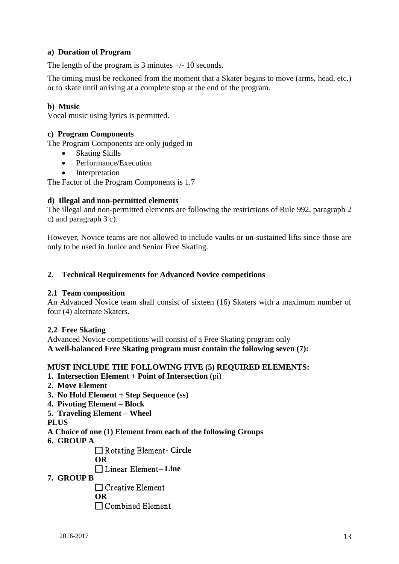### **a) Duration of Program**

The length of the program is 3 minutes  $+/-10$  seconds.

The timing must be reckoned from the moment that a Skater begins to move (arms, head, etc.) or to skate until arriving at a complete stop at the end of the program.

#### **b) Music**

Vocal music using lyrics is permitted.

#### **c) Program Components**

The Program Components are only judged in

- Skating Skills
- Performance/Execution
- **Interpretation**

The Factor of the Program Components is 1.7

#### **d) Illegal and non-permitted elements**

The illegal and non-permitted elements are following the restrictions of Rule 992, paragraph 2 c) and paragraph 3 c).

However, Novice teams are not allowed to include vaults or un-sustained lifts since those are only to be used in Junior and Senior Free Skating.

#### **2. Technical Requirements for Advanced Novice competitions**

#### **2.1 Team composition**

An Advanced Novice team shall consist of sixteen (16) Skaters with a maximum number of four (4) alternate Skaters.

#### **2.2 Free Skating**

Advanced Novice competitions will consist of a Free Skating program only **A well-balanced Free Skating program must contain the following seven (7):**

#### **MUST INCLUDE THE FOLLOWING FIVE (5) REQUIRED ELEMENTS:**

- **1. Intersection Element + Point of Intersection** (pi)
- **2. Move Element**
- **3. No Hold Element + Step Sequence (ss)**
- **4. Pivoting Element – Block**
- **5. Traveling Element – Wheel**

**PLUS** 

- **A Choice of one (1) Element from each of the following Groups**
- **6. GROUP A**

□ Rotating Element - Circle

**OR**

Linear Element **– Line** 

**7. GROUP B** 

 $\Box$  Creative Element **OR** 

Combined Element